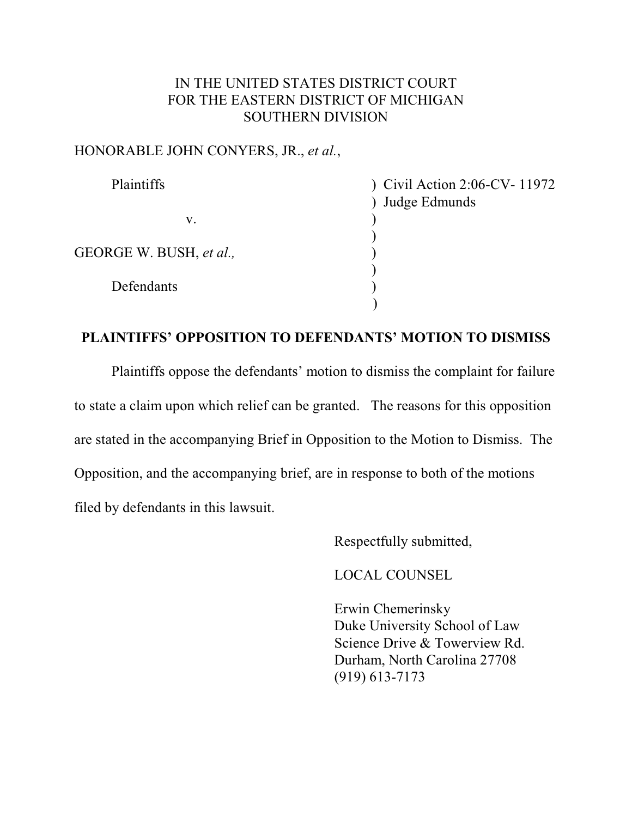### IN THE UNITED STATES DISTRICT COURT FOR THE EASTERN DISTRICT OF MICHIGAN SOUTHERN DIVISION

### HONORABLE JOHN CONYERS, JR., *et al.*,

| Plaintiffs              | Civil Action 2:06-CV- 11972 |
|-------------------------|-----------------------------|
|                         | ) Judge Edmunds             |
| V.                      |                             |
| GEORGE W. BUSH, et al., |                             |
| Defendants              |                             |
|                         |                             |

### **PLAINTIFFS' OPPOSITION TO DEFENDANTS' MOTION TO DISMISS**

Plaintiffs oppose the defendants' motion to dismiss the complaint for failure to state a claim upon which relief can be granted. The reasons for this opposition are stated in the accompanying Brief in Opposition to the Motion to Dismiss. The Opposition, and the accompanying brief, are in response to both of the motions filed by defendants in this lawsuit.

Respectfully submitted,

LOCAL COUNSEL

Erwin Chemerinsky Duke University School of Law Science Drive & Towerview Rd. Durham, North Carolina 27708 (919) 613-7173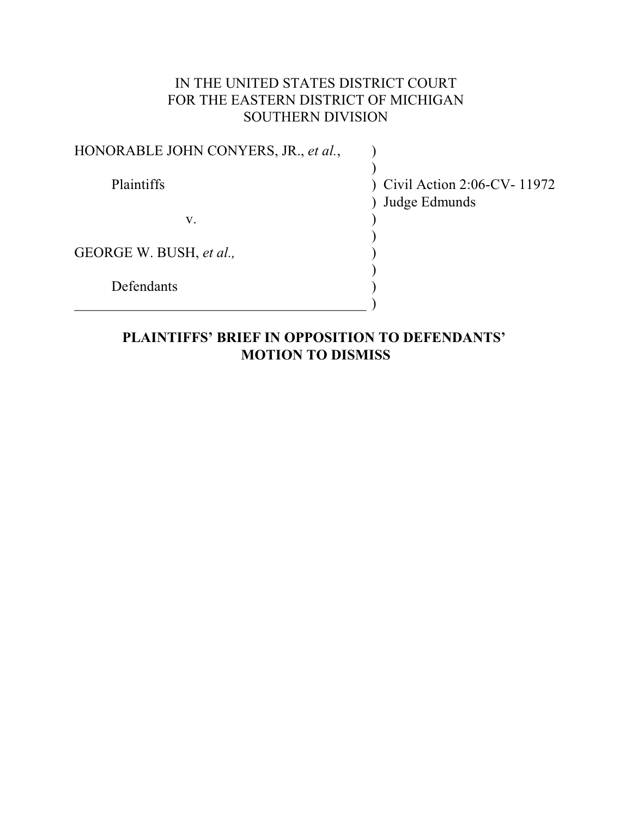# IN THE UNITED STATES DISTRICT COURT FOR THE EASTERN DISTRICT OF MICHIGAN SOUTHERN DIVISION

| HONORABLE JOHN CONYERS, JR., et al., |                                             |
|--------------------------------------|---------------------------------------------|
| Plaintiffs                           | Civil Action 2:06-CV-11972<br>Judge Edmunds |
| V.                                   |                                             |
| GEORGE W. BUSH, et al.,              |                                             |
| Defendants                           |                                             |
|                                      |                                             |

# **PLAINTIFFS' BRIEF IN OPPOSITION TO DEFENDANTS' MOTION TO DISMISS**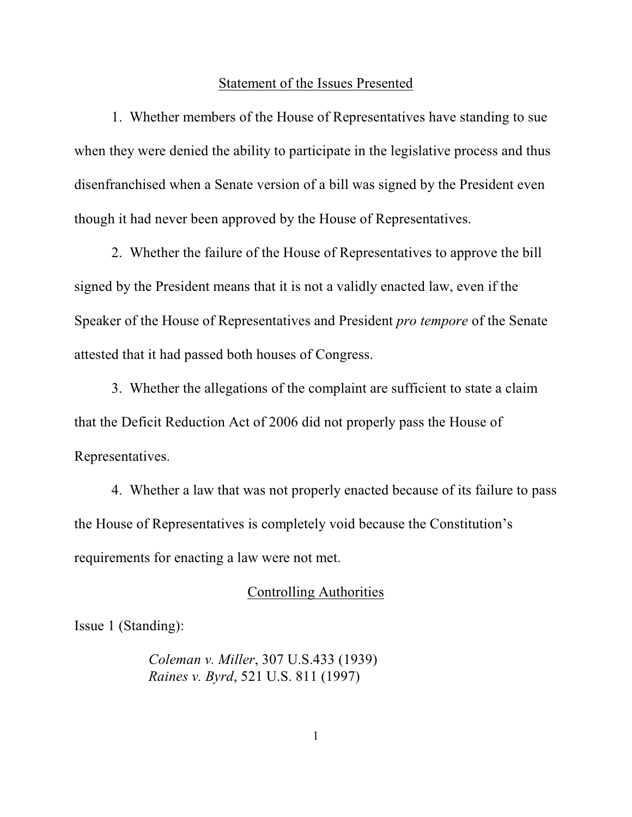#### Statement of the Issues Presented

1. Whether members of the House of Representatives have standing to sue when they were denied the ability to participate in the legislative process and thus disenfranchised when a Senate version of a bill was signed by the President even though it had never been approved by the House of Representatives.

2. Whether the failure of the House of Representatives to approve the bill signed by the President means that it is not a validly enacted law, even if the Speaker of the House of Representatives and President *pro tempore* of the Senate attested that it had passed both houses of Congress.

3. Whether the allegations of the complaint are sufficient to state a claim that the Deficit Reduction Act of 2006 did not properly pass the House of Representatives.

4. Whether a law that was not properly enacted because of its failure to pass the House of Representatives is completely void because the Constitution's requirements for enacting a law were not met.

### Controlling Authorities

Issue 1 (Standing):

*Coleman v. Miller*, 307 U.S.433 (1939) *Raines v. Byrd*, 521 U.S. 811 (1997)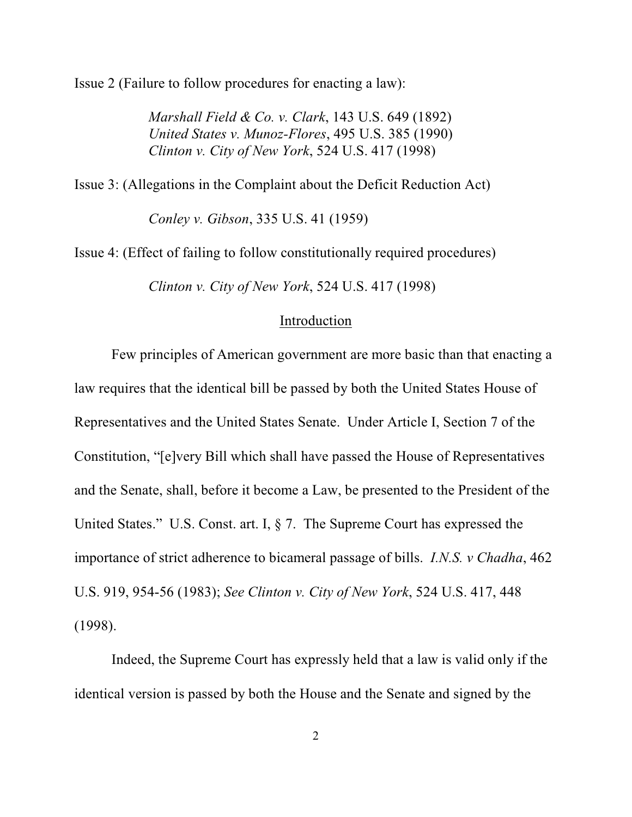Issue 2 (Failure to follow procedures for enacting a law):

*Marshall Field & Co. v. Clark*, 143 U.S. 649 (1892) *United States v. Munoz-Flores*, 495 U.S. 385 (1990) *Clinton v. City of New York*, 524 U.S. 417 (1998)

Issue 3: (Allegations in the Complaint about the Deficit Reduction Act)

*Conley v. Gibson*, 335 U.S. 41 (1959)

Issue 4: (Effect of failing to follow constitutionally required procedures)

*Clinton v. City of New York*, 524 U.S. 417 (1998)

#### Introduction

Few principles of American government are more basic than that enacting a law requires that the identical bill be passed by both the United States House of Representatives and the United States Senate. Under Article I, Section 7 of the Constitution, "[e]very Bill which shall have passed the House of Representatives and the Senate, shall, before it become a Law, be presented to the President of the United States." U.S. Const. art. I, § 7. The Supreme Court has expressed the importance of strict adherence to bicameral passage of bills. *I.N.S. v Chadha*, 462 U.S. 919, 954-56 (1983); *See Clinton v. City of New York*, 524 U.S. 417, 448 (1998).

Indeed, the Supreme Court has expressly held that a law is valid only if the identical version is passed by both the House and the Senate and signed by the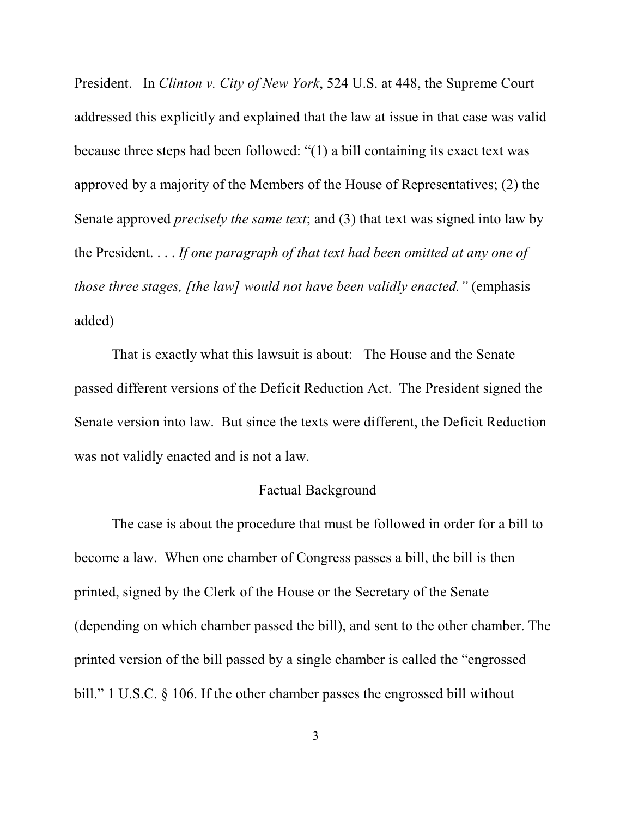President. In *Clinton v. City of New York*, 524 U.S. at 448, the Supreme Court addressed this explicitly and explained that the law at issue in that case was valid because three steps had been followed: "(1) a bill containing its exact text was approved by a majority of the Members of the House of Representatives; (2) the Senate approved *precisely the same text*; and (3) that text was signed into law by the President. . . . *If one paragraph of that text had been omitted at any one of those three stages, [the law] would not have been validly enacted."* (emphasis added)

That is exactly what this lawsuit is about: The House and the Senate passed different versions of the Deficit Reduction Act. The President signed the Senate version into law. But since the texts were different, the Deficit Reduction was not validly enacted and is not a law.

### Factual Background

The case is about the procedure that must be followed in order for a bill to become a law. When one chamber of Congress passes a bill, the bill is then printed, signed by the Clerk of the House or the Secretary of the Senate (depending on which chamber passed the bill), and sent to the other chamber. The printed version of the bill passed by a single chamber is called the "engrossed bill." 1 U.S.C. § 106. If the other chamber passes the engrossed bill without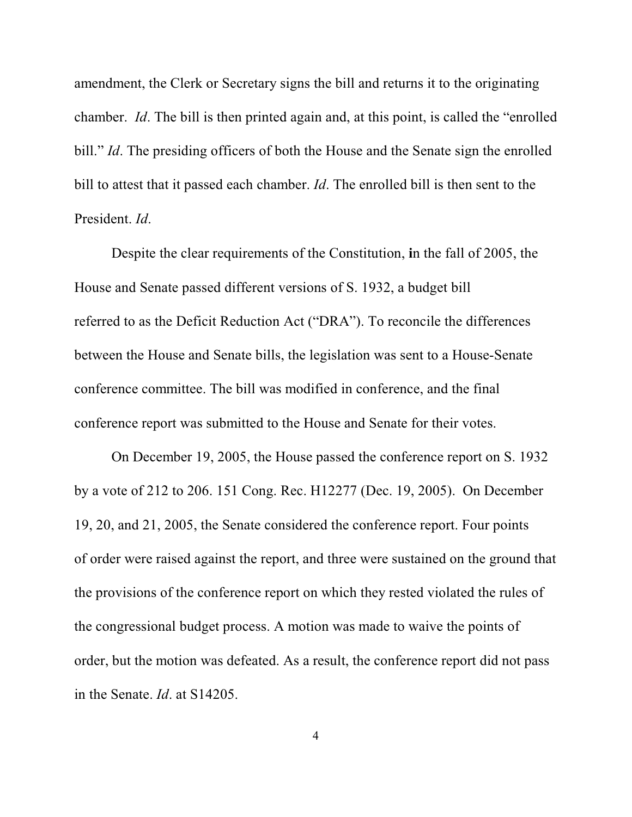amendment, the Clerk or Secretary signs the bill and returns it to the originating chamber. *Id*. The bill is then printed again and, at this point, is called the "enrolled bill." *Id*. The presiding officers of both the House and the Senate sign the enrolled bill to attest that it passed each chamber. *Id*. The enrolled bill is then sent to the President. *Id*.

Despite the clear requirements of the Constitution, **i**n the fall of 2005, the House and Senate passed different versions of S. 1932, a budget bill referred to as the Deficit Reduction Act ("DRA"). To reconcile the differences between the House and Senate bills, the legislation was sent to a House-Senate conference committee. The bill was modified in conference, and the final conference report was submitted to the House and Senate for their votes.

On December 19, 2005, the House passed the conference report on S. 1932 by a vote of 212 to 206. 151 Cong. Rec. H12277 (Dec. 19, 2005). On December 19, 20, and 21, 2005, the Senate considered the conference report. Four points of order were raised against the report, and three were sustained on the ground that the provisions of the conference report on which they rested violated the rules of the congressional budget process. A motion was made to waive the points of order, but the motion was defeated. As a result, the conference report did not pass in the Senate. *Id*. at S14205.

4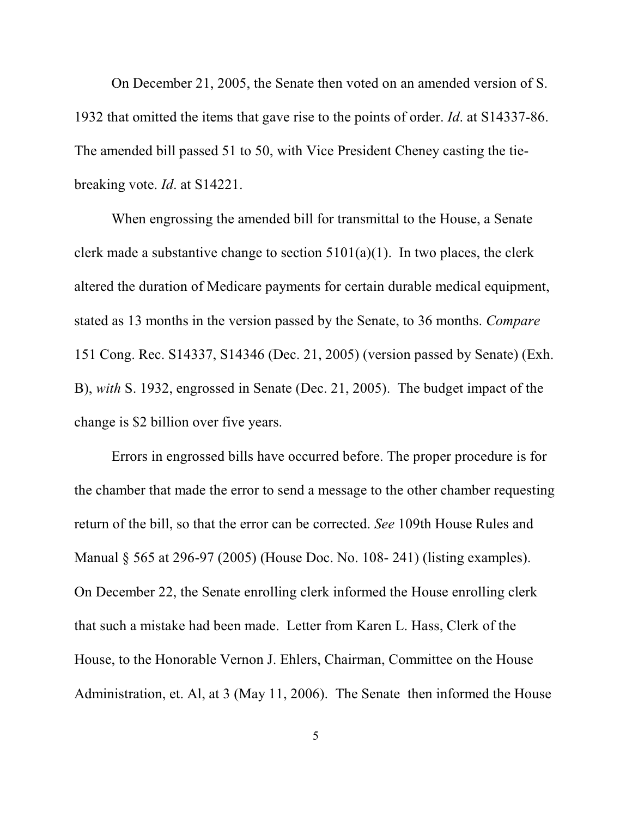On December 21, 2005, the Senate then voted on an amended version of S. 1932 that omitted the items that gave rise to the points of order. *Id*. at S14337-86. The amended bill passed 51 to 50, with Vice President Cheney casting the tiebreaking vote. *Id*. at S14221.

When engrossing the amended bill for transmittal to the House, a Senate clerk made a substantive change to section  $5101(a)(1)$ . In two places, the clerk altered the duration of Medicare payments for certain durable medical equipment, stated as 13 months in the version passed by the Senate, to 36 months. *Compare* 151 Cong. Rec. S14337, S14346 (Dec. 21, 2005) (version passed by Senate) (Exh. B), *with* S. 1932, engrossed in Senate (Dec. 21, 2005). The budget impact of the change is \$2 billion over five years.

Errors in engrossed bills have occurred before. The proper procedure is for the chamber that made the error to send a message to the other chamber requesting return of the bill, so that the error can be corrected. *See* 109th House Rules and Manual § 565 at 296-97 (2005) (House Doc. No. 108- 241) (listing examples). On December 22, the Senate enrolling clerk informed the House enrolling clerk that such a mistake had been made. Letter from Karen L. Hass, Clerk of the House, to the Honorable Vernon J. Ehlers, Chairman, Committee on the House Administration, et. Al, at 3 (May 11, 2006). The Senate then informed the House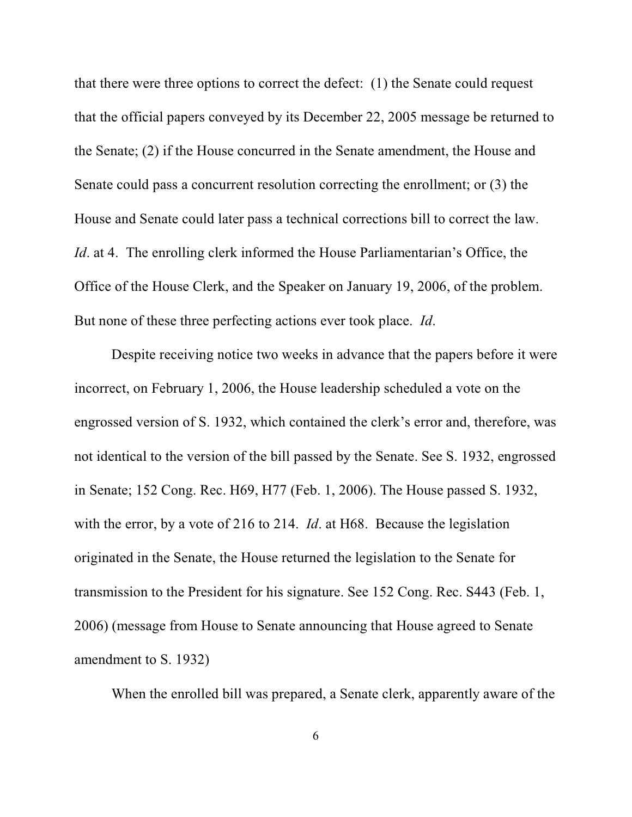that there were three options to correct the defect: (1) the Senate could request that the official papers conveyed by its December 22, 2005 message be returned to the Senate; (2) if the House concurred in the Senate amendment, the House and Senate could pass a concurrent resolution correcting the enrollment; or (3) the House and Senate could later pass a technical corrections bill to correct the law. *Id.* at 4. The enrolling clerk informed the House Parliamentarian's Office, the Office of the House Clerk, and the Speaker on January 19, 2006, of the problem. But none of these three perfecting actions ever took place. *Id*.

Despite receiving notice two weeks in advance that the papers before it were incorrect, on February 1, 2006, the House leadership scheduled a vote on the engrossed version of S. 1932, which contained the clerk's error and, therefore, was not identical to the version of the bill passed by the Senate. See S. 1932, engrossed in Senate; 152 Cong. Rec. H69, H77 (Feb. 1, 2006). The House passed S. 1932, with the error, by a vote of 216 to 214. *Id*. at H68. Because the legislation originated in the Senate, the House returned the legislation to the Senate for transmission to the President for his signature. See 152 Cong. Rec. S443 (Feb. 1, 2006) (message from House to Senate announcing that House agreed to Senate amendment to S. 1932)

When the enrolled bill was prepared, a Senate clerk, apparently aware of the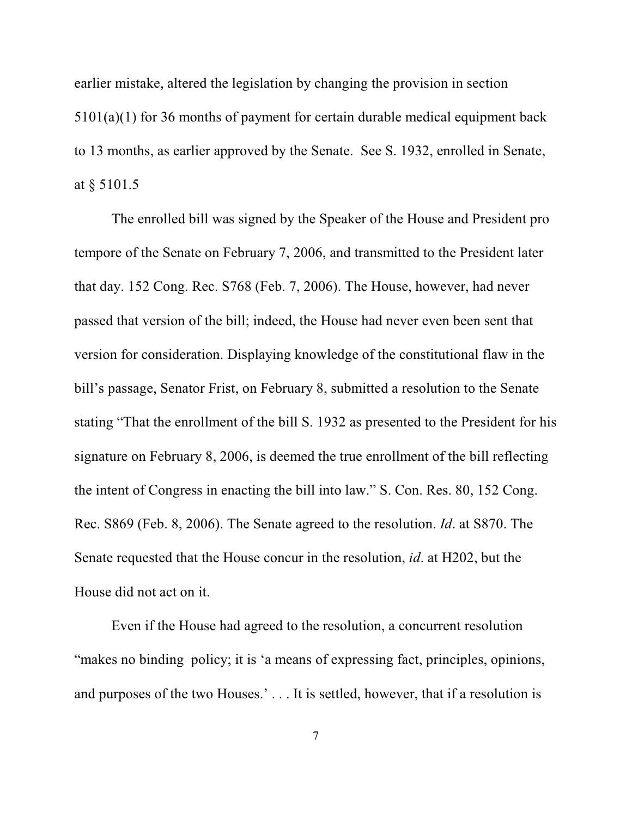earlier mistake, altered the legislation by changing the provision in section 5101(a)(1) for 36 months of payment for certain durable medical equipment back to 13 months, as earlier approved by the Senate. See S. 1932, enrolled in Senate, at § 5101.5

The enrolled bill was signed by the Speaker of the House and President pro tempore of the Senate on February 7, 2006, and transmitted to the President later that day. 152 Cong. Rec. S768 (Feb. 7, 2006). The House, however, had never passed that version of the bill; indeed, the House had never even been sent that version for consideration. Displaying knowledge of the constitutional flaw in the bill's passage, Senator Frist, on February 8, submitted a resolution to the Senate stating "That the enrollment of the bill S. 1932 as presented to the President for his signature on February 8, 2006, is deemed the true enrollment of the bill reflecting the intent of Congress in enacting the bill into law." S. Con. Res. 80, 152 Cong. Rec. S869 (Feb. 8, 2006). The Senate agreed to the resolution. *Id*. at S870. The Senate requested that the House concur in the resolution, *id*. at H202, but the House did not act on it.

Even if the House had agreed to the resolution, a concurrent resolution "makes no binding policy; it is 'a means of expressing fact, principles, opinions, and purposes of the two Houses.' . . . It is settled, however, that if a resolution is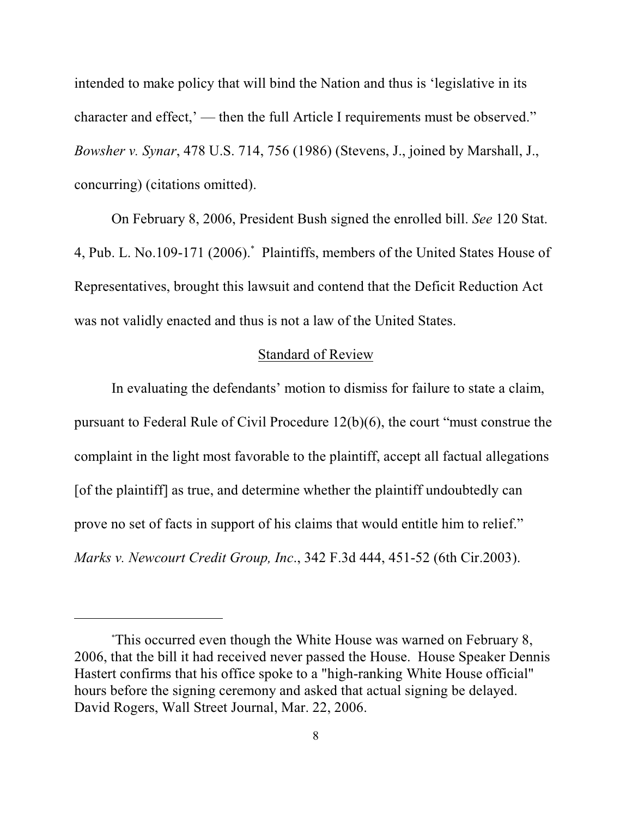intended to make policy that will bind the Nation and thus is 'legislative in its character and effect,' — then the full Article I requirements must be observed." *Bowsher v. Synar*, 478 U.S. 714, 756 (1986) (Stevens, J., joined by Marshall, J., concurring) (citations omitted).

On February 8, 2006, President Bush signed the enrolled bill. *See* 120 Stat. 4, Pub. L. No.109-171 (2006). Plaintiffs, members of the United States House of Representatives, brought this lawsuit and contend that the Deficit Reduction Act was not validly enacted and thus is not a law of the United States.

### Standard of Review

In evaluating the defendants' motion to dismiss for failure to state a claim, pursuant to Federal Rule of Civil Procedure 12(b)(6), the court "must construe the complaint in the light most favorable to the plaintiff, accept all factual allegations [of the plaintiff] as true, and determine whether the plaintiff undoubtedly can prove no set of facts in support of his claims that would entitle him to relief." *Marks v. Newcourt Credit Group, Inc*., 342 F.3d 444, 451-52 (6th Cir.2003).

This occurred even though the White House was warned on February 8, \* 2006, that the bill it had received never passed the House. House Speaker Dennis Hastert confirms that his office spoke to a "high-ranking White House official" hours before the signing ceremony and asked that actual signing be delayed. David Rogers, Wall Street Journal, Mar. 22, 2006.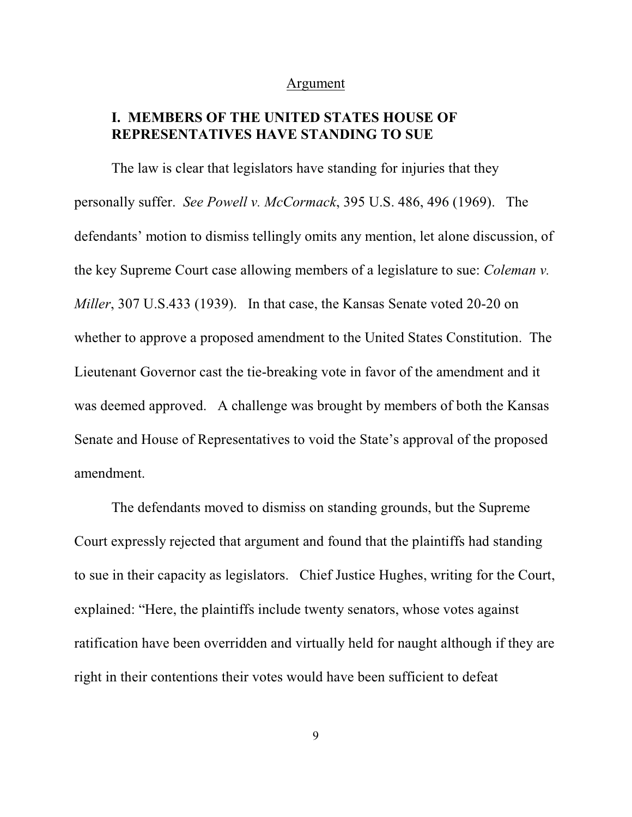#### Argument

## **I. MEMBERS OF THE UNITED STATES HOUSE OF REPRESENTATIVES HAVE STANDING TO SUE**

The law is clear that legislators have standing for injuries that they personally suffer. *See Powell v. McCormack*, 395 U.S. 486, 496 (1969). The defendants' motion to dismiss tellingly omits any mention, let alone discussion, of the key Supreme Court case allowing members of a legislature to sue: *Coleman v. Miller*, 307 U.S.433 (1939). In that case, the Kansas Senate voted 20-20 on whether to approve a proposed amendment to the United States Constitution. The Lieutenant Governor cast the tie-breaking vote in favor of the amendment and it was deemed approved. A challenge was brought by members of both the Kansas Senate and House of Representatives to void the State's approval of the proposed amendment.

The defendants moved to dismiss on standing grounds, but the Supreme Court expressly rejected that argument and found that the plaintiffs had standing to sue in their capacity as legislators. Chief Justice Hughes, writing for the Court, explained: "Here, the plaintiffs include twenty senators, whose votes against ratification have been overridden and virtually held for naught although if they are right in their contentions their votes would have been sufficient to defeat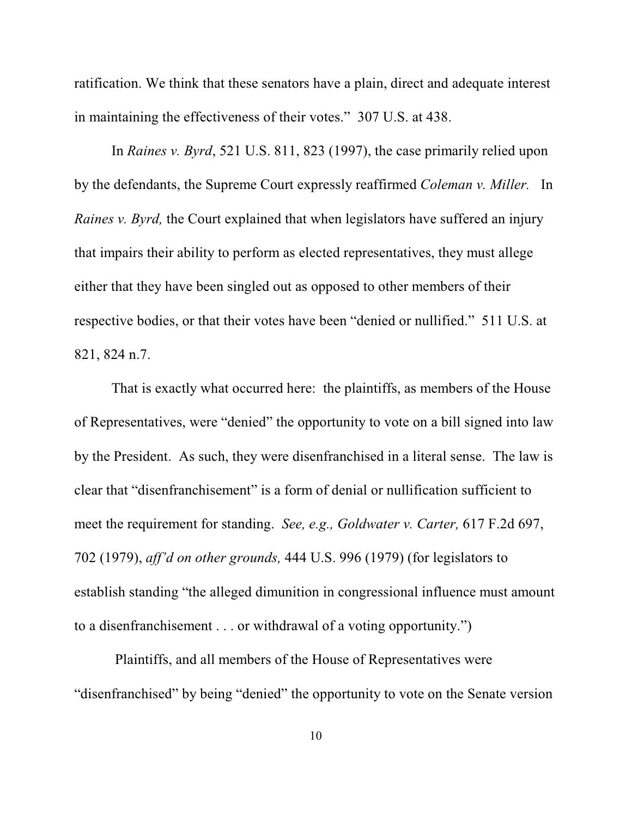ratification. We think that these senators have a plain, direct and adequate interest in maintaining the effectiveness of their votes." 307 U.S. at 438.

In *Raines v. Byrd*, 521 U.S. 811, 823 (1997), the case primarily relied upon by the defendants, the Supreme Court expressly reaffirmed *Coleman v. Miller.* In *Raines v. Byrd,* the Court explained that when legislators have suffered an injury that impairs their ability to perform as elected representatives, they must allege either that they have been singled out as opposed to other members of their respective bodies, or that their votes have been "denied or nullified." 511 U.S. at 821, 824 n.7.

That is exactly what occurred here: the plaintiffs, as members of the House of Representatives, were "denied" the opportunity to vote on a bill signed into law by the President. As such, they were disenfranchised in a literal sense. The law is clear that "disenfranchisement" is a form of denial or nullification sufficient to meet the requirement for standing. *See, e.g., Goldwater v. Carter,* 617 F.2d 697, 702 (1979), *aff'd on other grounds,* 444 U.S. 996 (1979) (for legislators to establish standing "the alleged dimunition in congressional influence must amount to a disenfranchisement . . . or withdrawal of a voting opportunity.")

 Plaintiffs, and all members of the House of Representatives were "disenfranchised" by being "denied" the opportunity to vote on the Senate version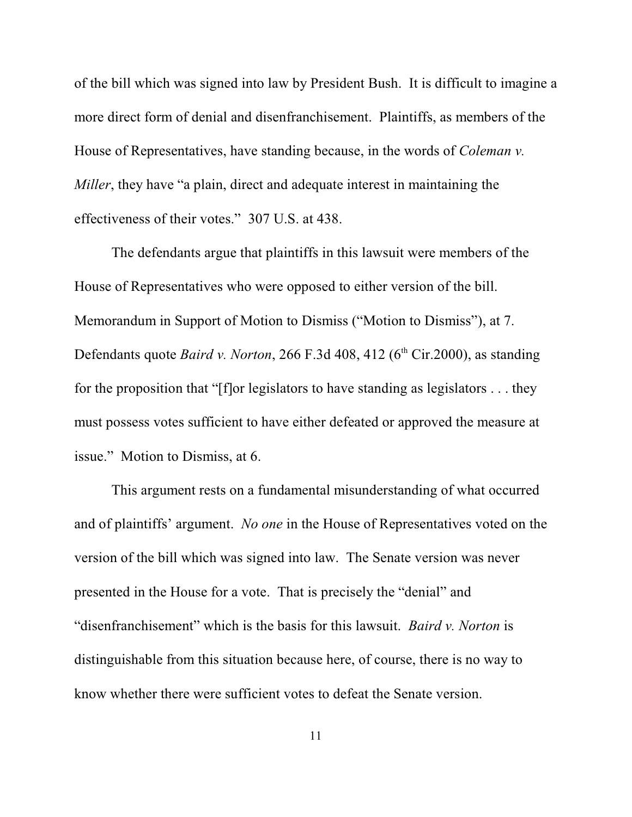of the bill which was signed into law by President Bush. It is difficult to imagine a more direct form of denial and disenfranchisement. Plaintiffs, as members of the House of Representatives, have standing because, in the words of *Coleman v. Miller*, they have "a plain, direct and adequate interest in maintaining the effectiveness of their votes." 307 U.S. at 438.

The defendants argue that plaintiffs in this lawsuit were members of the House of Representatives who were opposed to either version of the bill. Memorandum in Support of Motion to Dismiss ("Motion to Dismiss"), at 7. Defendants quote *Baird v. Norton*, 266 F.3d 408, 412 (6<sup>th</sup> Cir.2000), as standing for the proposition that "[f]or legislators to have standing as legislators . . . they must possess votes sufficient to have either defeated or approved the measure at issue." Motion to Dismiss, at 6.

This argument rests on a fundamental misunderstanding of what occurred and of plaintiffs' argument. *No one* in the House of Representatives voted on the version of the bill which was signed into law. The Senate version was never presented in the House for a vote. That is precisely the "denial" and "disenfranchisement" which is the basis for this lawsuit. *Baird v. Norton* is distinguishable from this situation because here, of course, there is no way to know whether there were sufficient votes to defeat the Senate version.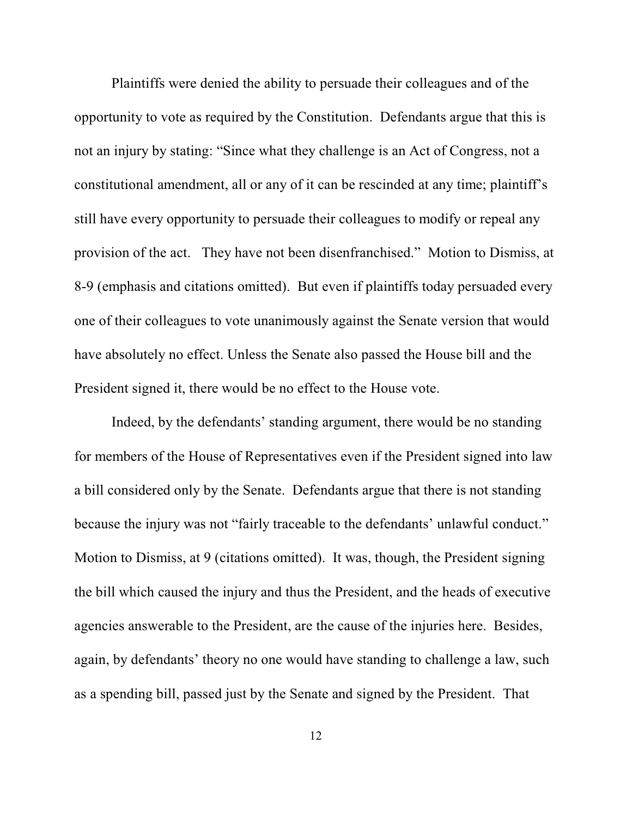Plaintiffs were denied the ability to persuade their colleagues and of the opportunity to vote as required by the Constitution. Defendants argue that this is not an injury by stating: "Since what they challenge is an Act of Congress, not a constitutional amendment, all or any of it can be rescinded at any time; plaintiff's still have every opportunity to persuade their colleagues to modify or repeal any provision of the act. They have not been disenfranchised." Motion to Dismiss, at 8-9 (emphasis and citations omitted). But even if plaintiffs today persuaded every one of their colleagues to vote unanimously against the Senate version that would have absolutely no effect. Unless the Senate also passed the House bill and the President signed it, there would be no effect to the House vote.

Indeed, by the defendants' standing argument, there would be no standing for members of the House of Representatives even if the President signed into law a bill considered only by the Senate. Defendants argue that there is not standing because the injury was not "fairly traceable to the defendants' unlawful conduct." Motion to Dismiss, at 9 (citations omitted). It was, though, the President signing the bill which caused the injury and thus the President, and the heads of executive agencies answerable to the President, are the cause of the injuries here. Besides, again, by defendants' theory no one would have standing to challenge a law, such as a spending bill, passed just by the Senate and signed by the President. That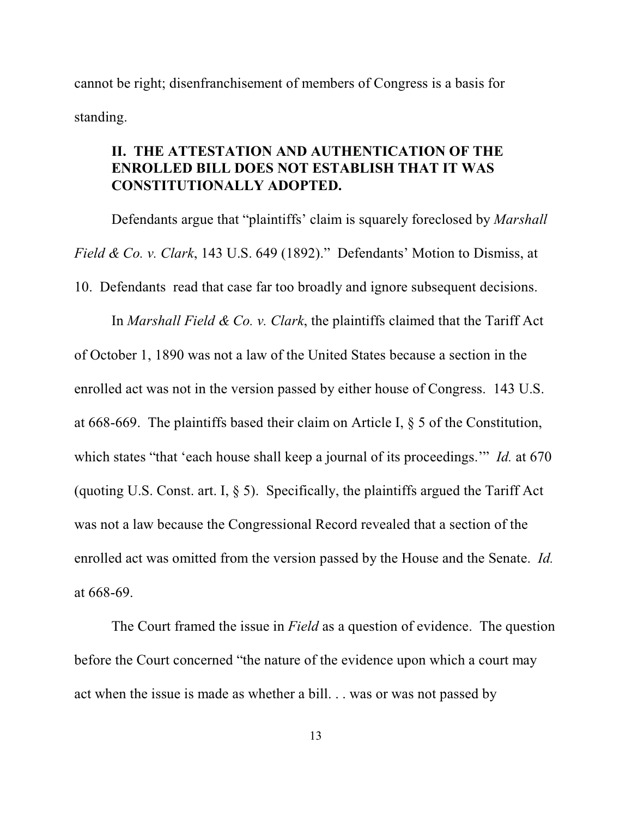cannot be right; disenfranchisement of members of Congress is a basis for standing.

## **II. THE ATTESTATION AND AUTHENTICATION OF THE ENROLLED BILL DOES NOT ESTABLISH THAT IT WAS CONSTITUTIONALLY ADOPTED.**

Defendants argue that "plaintiffs' claim is squarely foreclosed by *Marshall Field & Co. v. Clark*, 143 U.S. 649 (1892)." Defendants' Motion to Dismiss, at 10. Defendants read that case far too broadly and ignore subsequent decisions. In *Marshall Field & Co. v. Clark*, the plaintiffs claimed that the Tariff Act

of October 1, 1890 was not a law of the United States because a section in the enrolled act was not in the version passed by either house of Congress. 143 U.S. at 668-669. The plaintiffs based their claim on Article I, § 5 of the Constitution, which states "that 'each house shall keep a journal of its proceedings." *Id.* at 670 (quoting U.S. Const. art. I, § 5). Specifically, the plaintiffs argued the Tariff Act was not a law because the Congressional Record revealed that a section of the enrolled act was omitted from the version passed by the House and the Senate. *Id.* at 668-69.

The Court framed the issue in *Field* as a question of evidence. The question before the Court concerned "the nature of the evidence upon which a court may act when the issue is made as whether a bill. . . was or was not passed by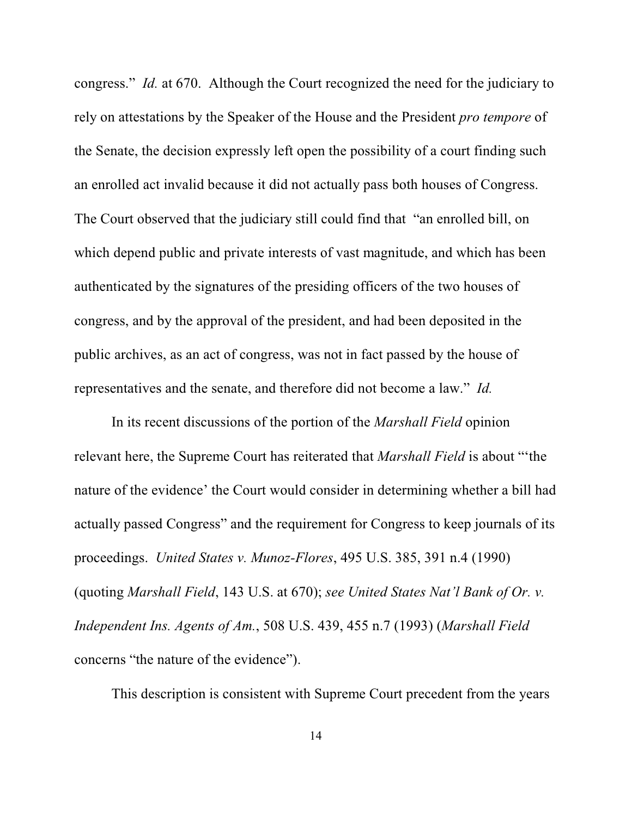congress." *Id.* at 670. Although the Court recognized the need for the judiciary to rely on attestations by the Speaker of the House and the President *pro tempore* of the Senate, the decision expressly left open the possibility of a court finding such an enrolled act invalid because it did not actually pass both houses of Congress. The Court observed that the judiciary still could find that "an enrolled bill, on which depend public and private interests of vast magnitude, and which has been authenticated by the signatures of the presiding officers of the two houses of congress, and by the approval of the president, and had been deposited in the public archives, as an act of congress, was not in fact passed by the house of representatives and the senate, and therefore did not become a law." *Id.*

In its recent discussions of the portion of the *Marshall Field* opinion relevant here, the Supreme Court has reiterated that *Marshall Field* is about "'the nature of the evidence' the Court would consider in determining whether a bill had actually passed Congress" and the requirement for Congress to keep journals of its proceedings. *United States v. Munoz-Flores*, 495 U.S. 385, 391 n.4 (1990) (quoting *Marshall Field*, 143 U.S. at 670); *see United States Nat'l Bank of Or. v. Independent Ins. Agents of Am.*, 508 U.S. 439, 455 n.7 (1993) (*Marshall Field* concerns "the nature of the evidence").

This description is consistent with Supreme Court precedent from the years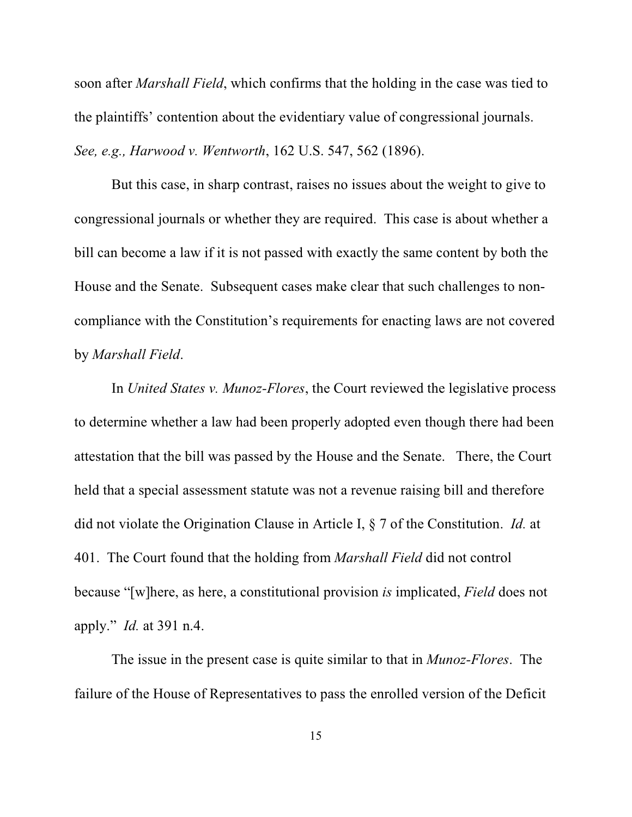soon after *Marshall Field*, which confirms that the holding in the case was tied to the plaintiffs' contention about the evidentiary value of congressional journals. *See, e.g., Harwood v. Wentworth*, 162 U.S. 547, 562 (1896).

But this case, in sharp contrast, raises no issues about the weight to give to congressional journals or whether they are required. This case is about whether a bill can become a law if it is not passed with exactly the same content by both the House and the Senate. Subsequent cases make clear that such challenges to noncompliance with the Constitution's requirements for enacting laws are not covered by *Marshall Field*.

In *United States v. Munoz-Flores*, the Court reviewed the legislative process to determine whether a law had been properly adopted even though there had been attestation that the bill was passed by the House and the Senate. There, the Court held that a special assessment statute was not a revenue raising bill and therefore did not violate the Origination Clause in Article I, § 7 of the Constitution. *Id.* at 401. The Court found that the holding from *Marshall Field* did not control because "[w]here, as here, a constitutional provision *is* implicated, *Field* does not apply." *Id.* at 391 n.4.

The issue in the present case is quite similar to that in *Munoz-Flores*. The failure of the House of Representatives to pass the enrolled version of the Deficit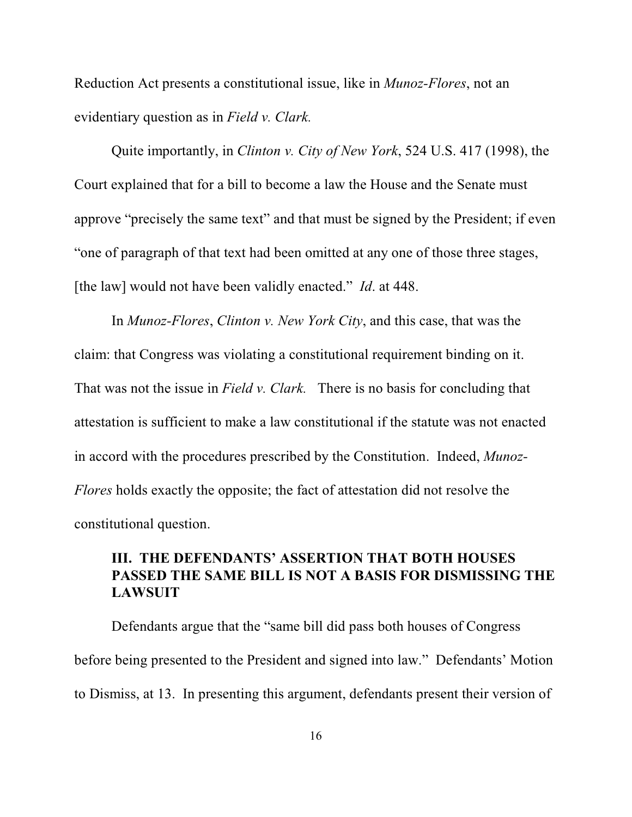Reduction Act presents a constitutional issue, like in *Munoz-Flores*, not an evidentiary question as in *Field v. Clark.*

Quite importantly, in *Clinton v. City of New York*, 524 U.S. 417 (1998), the Court explained that for a bill to become a law the House and the Senate must approve "precisely the same text" and that must be signed by the President; if even "one of paragraph of that text had been omitted at any one of those three stages, [the law] would not have been validly enacted." *Id.* at 448.

In *Munoz-Flores*, *Clinton v. New York City*, and this case, that was the claim: that Congress was violating a constitutional requirement binding on it. That was not the issue in *Field v. Clark.* There is no basis for concluding that attestation is sufficient to make a law constitutional if the statute was not enacted in accord with the procedures prescribed by the Constitution. Indeed, *Munoz-Flores* holds exactly the opposite; the fact of attestation did not resolve the constitutional question.

# **III. THE DEFENDANTS' ASSERTION THAT BOTH HOUSES PASSED THE SAME BILL IS NOT A BASIS FOR DISMISSING THE LAWSUIT**

Defendants argue that the "same bill did pass both houses of Congress before being presented to the President and signed into law." Defendants' Motion to Dismiss, at 13. In presenting this argument, defendants present their version of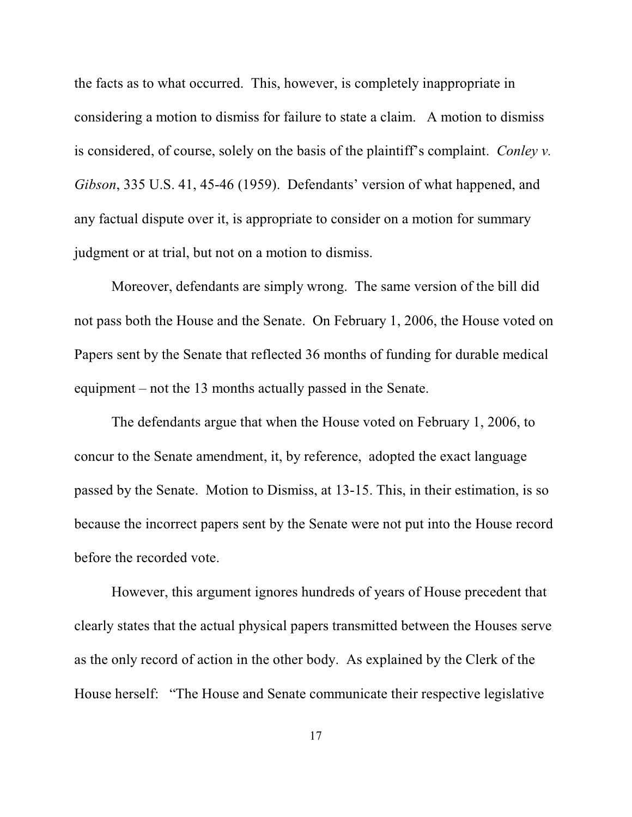the facts as to what occurred. This, however, is completely inappropriate in considering a motion to dismiss for failure to state a claim. A motion to dismiss is considered, of course, solely on the basis of the plaintiff's complaint. *Conley v. Gibson*, 335 U.S. 41, 45-46 (1959). Defendants' version of what happened, and any factual dispute over it, is appropriate to consider on a motion for summary judgment or at trial, but not on a motion to dismiss.

Moreover, defendants are simply wrong. The same version of the bill did not pass both the House and the Senate. On February 1, 2006, the House voted on Papers sent by the Senate that reflected 36 months of funding for durable medical equipment – not the 13 months actually passed in the Senate.

The defendants argue that when the House voted on February 1, 2006, to concur to the Senate amendment, it, by reference, adopted the exact language passed by the Senate. Motion to Dismiss, at 13-15. This, in their estimation, is so because the incorrect papers sent by the Senate were not put into the House record before the recorded vote.

However, this argument ignores hundreds of years of House precedent that clearly states that the actual physical papers transmitted between the Houses serve as the only record of action in the other body. As explained by the Clerk of the House herself: "The House and Senate communicate their respective legislative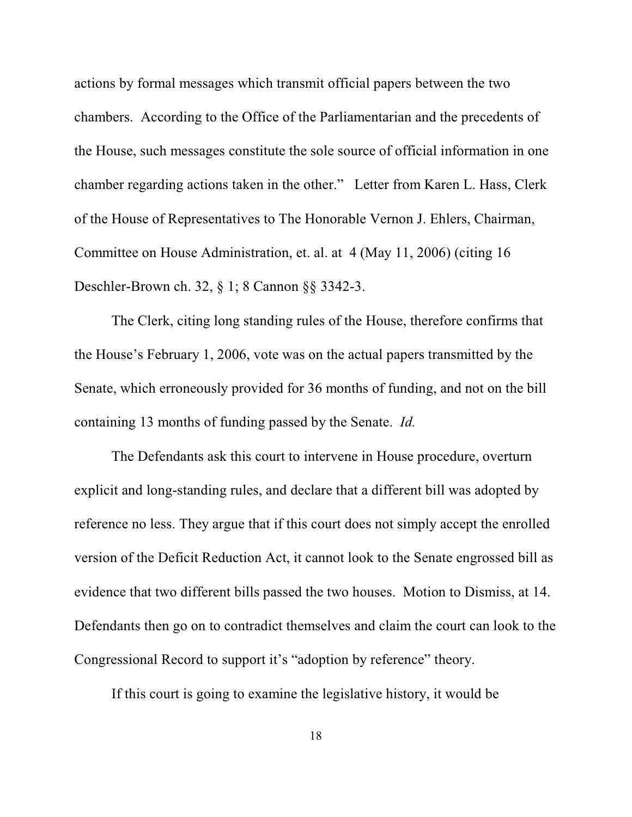actions by formal messages which transmit official papers between the two chambers. According to the Office of the Parliamentarian and the precedents of the House, such messages constitute the sole source of official information in one chamber regarding actions taken in the other." Letter from Karen L. Hass, Clerk of the House of Representatives to The Honorable Vernon J. Ehlers, Chairman, Committee on House Administration, et. al. at 4 (May 11, 2006) (citing 16 Deschler-Brown ch. 32, § 1; 8 Cannon §§ 3342-3.

The Clerk, citing long standing rules of the House, therefore confirms that the House's February 1, 2006, vote was on the actual papers transmitted by the Senate, which erroneously provided for 36 months of funding, and not on the bill containing 13 months of funding passed by the Senate. *Id.*

The Defendants ask this court to intervene in House procedure, overturn explicit and long-standing rules, and declare that a different bill was adopted by reference no less. They argue that if this court does not simply accept the enrolled version of the Deficit Reduction Act, it cannot look to the Senate engrossed bill as evidence that two different bills passed the two houses. Motion to Dismiss, at 14. Defendants then go on to contradict themselves and claim the court can look to the Congressional Record to support it's "adoption by reference" theory.

If this court is going to examine the legislative history, it would be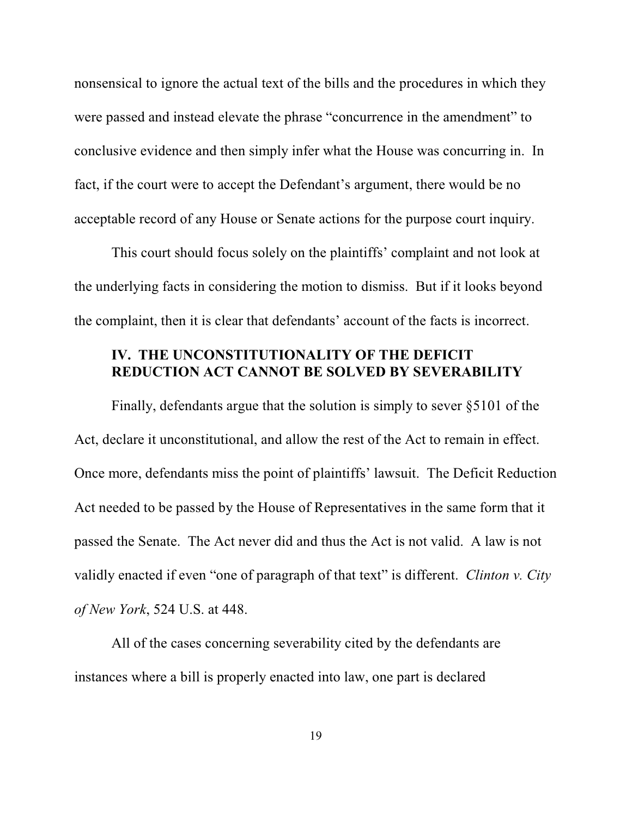nonsensical to ignore the actual text of the bills and the procedures in which they were passed and instead elevate the phrase "concurrence in the amendment" to conclusive evidence and then simply infer what the House was concurring in. In fact, if the court were to accept the Defendant's argument, there would be no acceptable record of any House or Senate actions for the purpose court inquiry.

This court should focus solely on the plaintiffs' complaint and not look at the underlying facts in considering the motion to dismiss. But if it looks beyond the complaint, then it is clear that defendants' account of the facts is incorrect.

### **IV. THE UNCONSTITUTIONALITY OF THE DEFICIT REDUCTION ACT CANNOT BE SOLVED BY SEVERABILITY**

Finally, defendants argue that the solution is simply to sever §5101 of the Act, declare it unconstitutional, and allow the rest of the Act to remain in effect. Once more, defendants miss the point of plaintiffs' lawsuit. The Deficit Reduction Act needed to be passed by the House of Representatives in the same form that it passed the Senate. The Act never did and thus the Act is not valid. A law is not validly enacted if even "one of paragraph of that text" is different. *Clinton v. City of New York*, 524 U.S. at 448.

All of the cases concerning severability cited by the defendants are instances where a bill is properly enacted into law, one part is declared